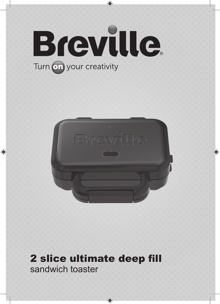

 $\bigoplus$ 



 $\bigoplus$ 

 $\bigoplus$ 

## 2 slice ultimate deep fill sandwich toaster

 $\bigcirc$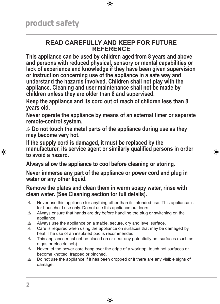#### **READ CAREFULLY AND KEEP FOR FUTURE REFERENCE**

 $\bigoplus$ 

**This appliance can be used by children aged from 8 years and above and persons with reduced physical, sensory or mental capabilities or lack of experience and knowledge if they have been given supervision or instruction concerning use of the appliance in a safe way and understand the hazards involved. Children shall not play with the appliance. Cleaning and user maintenance shall not be made by children unless they are older than 8 and supervised.**

**Keep the appliance and its cord out of reach of children less than 8 years old.**

**Never operate the appliance by means of an external timer or separate remote-control system.**

 **Do not touch the metal parts of the appliance during use as they may become very hot.**

**If the supply cord is damaged, it must be replaced by the manufacturer, its service agent or similarly qualified persons in order to avoid a hazard.**

⊕

**Always allow the appliance to cool before cleaning or storing.**

**Never immerse any part of the appliance or power cord and plug in water or any other liquid.**

**Remove the plates and clean them in warm soapy water, rinse with clean water. (See Cleaning section for full details).**

- $\triangle$  Never use this appliance for anything other than its intended use. This appliance is for household use only. Do not use this appliance outdoors.
- $\triangle$  Always ensure that hands are dry before handling the plug or switching on the appliance.
- $\triangle$  Always use the appliance on a stable, secure, dry and level surface.
- $\triangle$  Care is required when using the appliance on surfaces that may be damaged by heat. The use of an insulated pad is recommended.
- $\triangle$  This appliance must not be placed on or near any potentially hot surfaces (such as a gas or electric hob).
- $\triangle$  Never let the power cord hang over the edge of a worktop, touch hot surfaces or become knotted, trapped or pinched.
- $\triangle$  Do not use the appliance if it has been dropped or if there are any visible signs of damage.

↔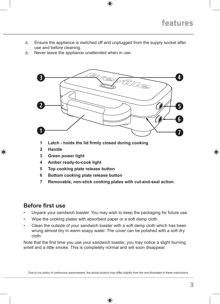$\triangle$  Ensure the appliance is switched off and unplugged from the supply socket after use and before cleaning.

 $\bigoplus$ 

 $\triangle$  Never leave the appliance unattended when in use.



- **1 Latch - holds the lid firmly closed during cooking**
- **2 Handle**

⊕

- **3 Green power light**
- **4 Amber ready-to-cook light**
- **5 Top cooking plate release button**
- **6 Bottom cooking plate release button**
- **7 Removable, non-stick cooking plates with cut-and-seal action.**

#### **Before first use**

- Unpack your sandwich toaster. You may wish to keep the packaging for future use.
- Wipe the cooking plates with absorbent paper or a soft damp cloth.
- Clean the outside of your sandwich toaster with a soft damp cloth which has been wrung almost dry in warm soapy water. The cover can be polished with a soft dry cloth.

Note that the first time you use your sandwich toaster, you may notice a slight burning smell and a little smoke. This is completely normal and will soon disappear.

Due to our policy of continuous improvement, the actual product may differ slightly from the one illustrated in these instructions.

⊕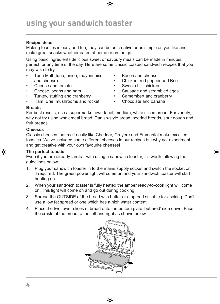## using your sandwich toaster

#### **Recipe ideas**

Making toasties is easy and fun, they can be as creative or as simple as you like and make great snacks whether eaten at home or on the go.

Using basic ingredients delicious sweet or savoury meals can be made in minutes, perfect for any time of the day. Here are some classic toasted sandwich recipes that you may wish to try.

- Tuna Melt (tuna, onion, mayonnaise and cheese)
- Cheese and tomato
- Cheese, beans and ham
- Turkey, stuffing and cranberry
- Ham, Brie, mushrooms and rocket
- Bacon and cheese
- Chicken, red pepper and Brie
- Sweet chilli chicken
- Sausage and scrambled eggs

⊕

- Camembert and cranberry
- Chocolate and banana

#### **Breads**

For best results, use a supermarket own-label, medium, white sliced bread. For variety, why not try using wholemeal bread, Danish-style bread, seeded breads, sour dough and fruit breads.

#### **Cheeses**

⊕

Classic cheeses that melt easily like Cheddar, Gruyere and Emmental make excellent toasties. We've included some different cheeses in our recipes but why not experiment and get creative with your own favourite cheeses!

#### **The perfect toastie**

Even if you are already familiar with using a sandwich toaster, it's worth following the guidelines below.

- 1. Plug your sandwich toaster in to the mains supply socket and switch the socket on if required. The green power light will come on and your sandwich toaster will start heating up.
- 2. When your sandwich toaster is fully heated the amber ready-to-cook light will come on. This light will come on and go out during cooking.
- 3. Spread the OUTSIDE of the bread with butter or a spread suitable for cooking. Don't use a low fat spread or one which has a high water content.
- 4. Place the two lower slices of bread onto the bottom plate 'buttered' side down. Face the crusts of the bread to the left and right as shown below.

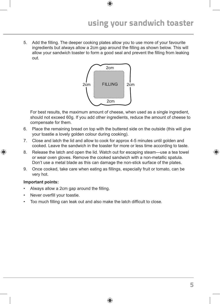## using your sandwich toaster

5. Add the filling. The deeper cooking plates allow you to use more of your favourite ingredients but always allow a 2cm gap around the filling as shown below. This will allow your sandwich toaster to form a good seal and prevent the filling from leaking out.

 $\bigoplus$ 



For best results, the maximum amount of cheese, when used as a single ingredient, should not exceed 60g. If you add other ingredients, reduce the amount of cheese to compensate for them.

- 6. Place the remaining bread on top with the buttered side on the outside (this will give your toastie a lovely golden colour during cooking).
- 7. Close and latch the lid and allow to cook for approx 4-5 minutes until golden and cooked. Leave the sandwich in the toaster for more or less time according to taste.
- 8. Release the latch and open the lid. Watch out for escaping steam—use a tea towel or wear oven gloves. Remove the cooked sandwich with a non-metallic spatula. Don't use a metal blade as this can damage the non-stick surface of the plates.
- 9. Once cooked, take care when eating as fillings, especially fruit or tomato, can be very hot.

⊕

#### **Important points:**

↔

- Always allow a 2cm gap around the filling.
- Never overfill your toastie.
- Too much filling can leak out and also make the latch difficult to close.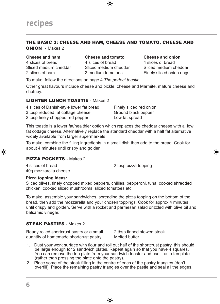#### THE BASIC 3: CHEESE AND HAM, CHEESE AND TOMATO, CHEESE AND ONION - Makes 2

#### **Cheese and ham**

4 slices of bread Sliced medium cheddar 2 slices of ham

**Cheese and tomato** 4 slices of bread Sliced medium cheddar 2 medium tomatoes

**Cheese and onion** 4 slices of bread Sliced medium cheddar Finely sliced onion rings

⊕

To make, follow the directions on page 4 *The perfect toastie*.

Other great flavours include cheese and pickle, cheese and Marmite, mature cheese and chutney.

#### LIGHTER LUNCH TOASTIE - Makes 2

| 4 slices of Danish-style lower fat bread | Finely sliced red onion |
|------------------------------------------|-------------------------|
| 3 tbsp reduced fat cottage cheese        | Ground black pepper     |
| 2 tbsp finely chopped red pepper         | Low fat spread          |

This toastie is a lower fat/healthier option which replaces the cheddar cheese with a low fat cottage cheese. Alternatively replace the standard cheddar with a half fat alternative widely available from larger supermarkets.

To make, combine the filling ingredients in a small dish then add to the bread. Cook for about 4 minutes until crispy and golden.

#### PIZZA POCKETS - Makes 2

4 slices of bread 40g mozzarella cheese 2 tbsp pizza topping

#### **Pizza topping ideas:**

⊕

Sliced olives, finely chopped mixed peppers, chillies, pepperoni, tuna, cooked shredded chicken, cooked sliced mushrooms, sliced tomatoes etc.

To make, assemble your sandwiches, spreading the pizza topping on the bottom of the bread, then add the mozzarella and your chosen toppings. Cook for approx 4 minutes until crispy and golden. Serve with a rocket and parmesan salad drizzled with olive oil and balsamic vinegar.

#### STEAK PASTIES - Makes 2

Ready rolled shortcrust pastry or a small quantity of homemade shortcrust pastry

2 tbsp tinned stewed steak Melted butter

- 1. Dust your work surface with flour and roll out half of the shortcrust pastry, this should be large enough for 2 sandwich plates. Repeat again so that you have 4 squares. You can remove the top plate from your sandwich toaster and use it as a template (rather than pressing the plate onto the pastry).
- 2. Place some of the steak filling in the centre of each of the pastry triangles (don't overfill). Place the remaining pastry triangles over the pastie and seal all the edges.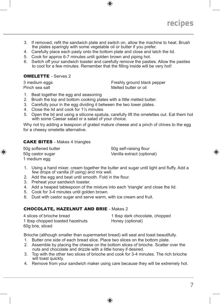

3. If removed, refit the sandwich plate and switch on, allow the machine to heat. Brush the plates sparingly with some vegetable oil or butter if you prefer.

 $\circledast$ 

- 4. Carefully place each pasty onto the bottom plate and close and latch the lid.
- 5. Cook for approx 6-7 minutes until golden brown and piping hot.
- 6. Switch off your sandwich toaster and carefully remove the pasties. Allow the pasties to cool for a few minutes. Remember that the filling inside will be very hot!

#### OMELETTE - Serves 2

3 medium eggs Pinch sea salt

Freshly ground black pepper Melted butter or oil

- 1. Beat together the egg and seasoning
- 2. Brush the top and bottom cooking plates with a little melted butter.
- 3. Carefully pour in the egg dividing it between the two lower plates.
- 4. Close the lid and cook for 1½ minutes
- 5. Open the lid and using a silicone spatula, carefully lift the omelettes out. Eat them hot with some Caesar salad or a salad of your choice.

Why not try adding a teaspoon of grated mature cheese and a pinch of chives to the egg for a cheesy omelette alternative.

#### CAKE BITES - Makes 4 triangles

50g softened butter 50g castor sugar 1 medium egg

↔

50g self-raising flour Vanilla extract (optional)

- 1. Using a hand mixer, cream together the butter and sugar until light and fluffy. Add a few drops of vanilla (if using) and mix well.
- 2. Add the egg and beat until smooth. Fold in the flour.
- 3. Preheat your sandwich toaster.
- 4. Add a heaped tablespoon of the mixture into each 'triangle' and close the lid.
- 5. Cook for 3-4 minutes until golden brown.
- 6. Dust with castor sugar and serve warm, with ice cream and fruit.

#### CHOCOLATE, HAZELNUT AND BRIE - Makes 2

| 4 slices of brioche bread        | 1 tbsp dark chocolate, chopped |
|----------------------------------|--------------------------------|
| 1 tbsp chopped toasted hazelnuts | Honey (optional)               |
| 60g brie, sliced                 |                                |

Brioche (although smaller than supermarket bread) will seal and toast beautifully.

- 1. Butter one side of each bread slice. Place two slices on the bottom plate.
- 2. Assemble by placing the cheese on the bottom slices of brioche. Scatter over the nuts and chocolate and drizzle with a little honey if desired.
- 3. Top with the other two slices of brioche and cook for 3-4 minutes. The rich brioche will toast quickly.
- 4. Remove from your sandwich maker using care because they will be extremely hot.

⊕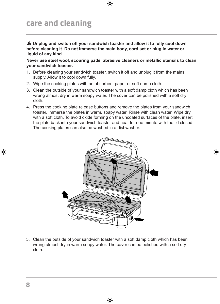## care and cleaning

**Unplug and switch off your sandwich toaster and allow it to fully cool down before cleaning it. Do not immerse the main body, cord set or plug in water or liquid of any kind.**

⊕

**Never use steel wool, scouring pads, abrasive cleaners or metallic utensils to clean your sandwich toaster.**

- 1. Before cleaning your sandwich toaster, switch it off and unplug it from the mains supply. Allow it to cool down fully.
- 2. Wipe the cooking plates with an absorbent paper or soft damp cloth.
- 3. Clean the outside of your sandwich toaster with a soft damp cloth which has been wrung almost dry in warm soapy water. The cover can be polished with a soft dry cloth.
- 4. Press the cooking plate release buttons and remove the plates from your sandwich toaster. Immerse the plates in warm, soapy water. Rinse with clean water. Wipe dry with a soft cloth. To avoid oxide forming on the uncoated surfaces of the plate, insert the plate back into your sandwich toaster and heat for one minute with the lid closed. The cooking plates can also be washed in a dishwasher.



⊕

5. Clean the outside of your sandwich toaster with a soft damp cloth which has been wrung almost dry in warm soapy water. The cover can be polished with a soft dry cloth.

⊕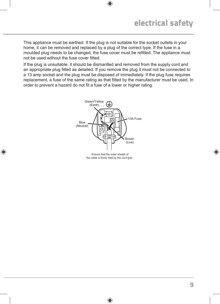This appliance must be earthed. If the plug is not suitable for the socket outlets in your home, it can be removed and replaced by a plug of the correct type. If the fuse in a moulded plug needs to be changed, the fuse cover must be refitted. The appliance must not be used without the fuse cover fitted.

 $\bigoplus$ 

If the plug is unsuitable, it should be dismantled and removed from the supply cord and an appropriate plug fitted as detailed. If you remove the plug it must not be connected to a 13 amp socket and the plug must be disposed of immediately. If the plug fuse requires replacement, a fuse of the same rating as that fitted by the manufacturer must be used. In order to prevent a hazard do not fit a fuse of a lower or higher rating.



Ensure that the outer sheath of the cable is firmly held by the cord grip

⊕

⊕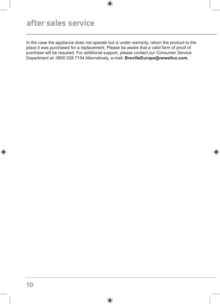## after sales service

In the case the appliance does not operate but is under warranty, return the product to the place it was purchased for a replacement. Please be aware that a valid form of proof of purchase will be required. For additional support, please contact our Consumer Service Department at: 0800 028 7154 Alternatively, e-mail: **BrevilleEurope@newellco.com.**

 $\bigoplus$ 

⊕

 $\bigoplus$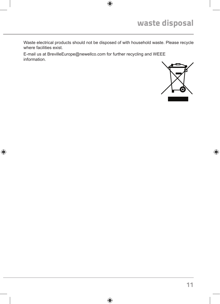Waste electrical products should not be disposed of with household waste. Please recycle where facilities exist.

 $\bigoplus$ 

 $\bigoplus$ 

E-mail us at BrevilleEurope@newellco.com for further recycling and WEEE information.

 $\bigoplus$ 



 $\bigoplus$